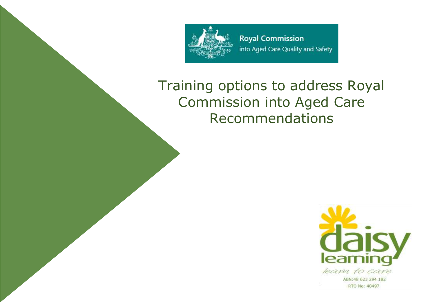

# Training options to address Royal Commission into Aged Care Recommendations

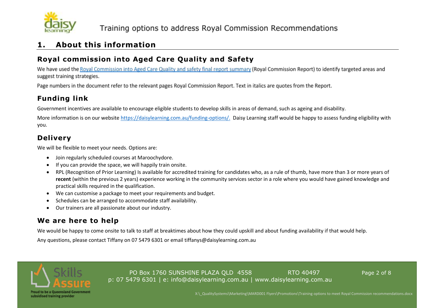

#### **1. About this information**

#### **Royal commission into Aged Care Quality and Safety**

We have used the Royal Commission into Aged Care Quality and safety final report summary (Royal Commission Report) to identify targeted areas and suggest training strategies.

Page numbers in the document refer to the relevant pages Royal Commission Report. Text in italics are quotes from the Report.

## **Funding link**

Government incentives are available to encourage eligible students to develop skills in areas of demand, such as ageing and disability.

More information is on our websit[e https://daisylearning.com.au/funding-options/.](https://daisylearning.com.au/funding-options/) Daisy Learning staff would be happy to assess funding eligibility with you.

#### **Delivery**

We will be flexible to meet your needs. Options are:

- Join regularly scheduled courses at Maroochydore.
- If you can provide the space, we will happily train onsite.
- RPL (Recognition of Prior Learning) Is available for accredited training for candidates who, as a rule of thumb, have more than 3 or more years of **recent** (within the previous 2 years) experience working in the community services sector in a role where you would have gained knowledge and practical skills required in the qualification.
- We can customise a package to meet your requirements and budget.
- Schedules can be arranged to accommodate staff availability.
- Our trainers are all passionate about our industry.

## **We are here to help**

We would be happy to come onsite to talk to staff at breaktimes about how they could upskill and about funding availability if that would help.

Any questions, please contact Tiffany on 07 5479 6301 or email tiffanys@daisylearning.com.au



PO Box 1760 SUNSHINE PLAZA OLD 4558 RTO 40497 RTO 40497 p: 07 5479 6301 | e: info@daisylearning.com.au | www.daisylearning.com.au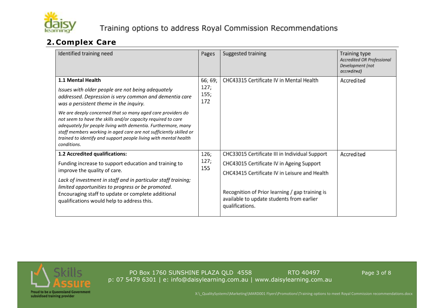

## **2. Complex Care**

| Identified training need                                                                                                                                                                                                                                                               |                                | Suggested training                                                                                              | Training type<br><b>Accredited OR Professional</b><br>Development (not<br>accredited) |  |
|----------------------------------------------------------------------------------------------------------------------------------------------------------------------------------------------------------------------------------------------------------------------------------------|--------------------------------|-----------------------------------------------------------------------------------------------------------------|---------------------------------------------------------------------------------------|--|
| 1.1 Mental Health<br>Issues with older people are not being adequately<br>addressed. Depression is very common and dementia care<br>was a persistent theme in the inquiry.<br>We are deeply concerned that so many aged care providers do                                              | 66; 69;<br>127;<br>155;<br>172 | CHC43315 Certificate IV in Mental Health                                                                        | Accredited                                                                            |  |
| not seem to have the skills and/or capacity required to care<br>adequately for people living with dementia. Furthermore, many<br>staff members working in aged care are not sufficiently skilled or<br>trained to identify and support people living with mental health<br>conditions. |                                |                                                                                                                 |                                                                                       |  |
| 1.2 Accredited qualifications:                                                                                                                                                                                                                                                         | 126;<br>127;                   | CHC33015 Certificate III in Individual Support                                                                  | Accredited                                                                            |  |
| Funding increase to support education and training to<br>improve the quality of care.                                                                                                                                                                                                  |                                | CHC43015 Certificate IV in Ageing Support<br>155                                                                |                                                                                       |  |
|                                                                                                                                                                                                                                                                                        |                                | CHC43415 Certificate IV in Leisure and Health                                                                   |                                                                                       |  |
| Lack of investment in staff and in particular staff training;<br>limited opportunities to progress or be promoted.<br>Encouraging staff to update or complete additional<br>qualifications would help to address this.                                                                 |                                | Recognition of Prior learning / gap training is<br>available to update students from earlier<br>qualifications. |                                                                                       |  |



PO Box 1760 SUNSHINE PLAZA QLD 4558 RTO 40497 RTO 40497 p: 07 5479 6301 | e: info@daisylearning.com.au | www.daisylearning.com.au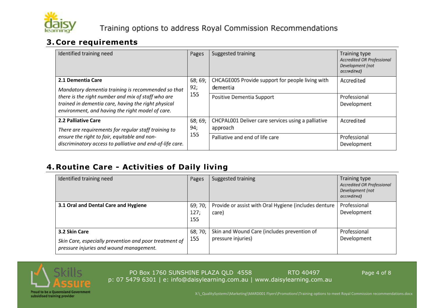

## **3. Core requirements**

| Identified training need                                                                                                                                                                                                                 | Pages | Suggested training                                             | <b>Training type</b><br>Accredited OR Professional<br>Development (not<br>accredited) |
|------------------------------------------------------------------------------------------------------------------------------------------------------------------------------------------------------------------------------------------|-------|----------------------------------------------------------------|---------------------------------------------------------------------------------------|
| 2.1 Dementia Care<br>Mandatory dementia training is recommended so that<br>there is the right number and mix of staff who are<br>trained in dementia care, having the right physical<br>environment, and having the right model of care. |       | CHCAGE005 Provide support for people living with<br>dementia   | Accredited                                                                            |
|                                                                                                                                                                                                                                          |       | Positive Dementia Support                                      | Professional<br>Development                                                           |
| <b>2.2 Palliative Care</b><br>There are requirements for regular staff training to                                                                                                                                                       |       | CHCPAL001 Deliver care services using a palliative<br>approach | Accredited                                                                            |
| ensure the right to fair, equitable and non-<br>discriminatory access to palliative and end-of-life care.                                                                                                                                | 155   | Palliative and end of life care                                | Professional<br>Development                                                           |

## **4. Routine Care - Activities of Daily living**

| Identified training need                                                                                           | Pages                  | Suggested training                                                | <b>Training type</b><br>Accredited OR Professional<br>Development (not<br>accredited) |
|--------------------------------------------------------------------------------------------------------------------|------------------------|-------------------------------------------------------------------|---------------------------------------------------------------------------------------|
| 3.1 Oral and Dental Care and Hygiene                                                                               | 69; 70;<br>127;<br>155 | Provide or assist with Oral Hygiene (includes denture<br>care)    | Professional<br>Development                                                           |
| 3.2 Skin Care<br>Skin Care, especially prevention and poor treatment of<br>pressure injuries and wound management. | 68; 70;<br>155         | Skin and Wound Care (includes prevention of<br>pressure injuries) | Professional<br>Development                                                           |



PO Box 1760 SUNSHINE PLAZA QLD 4558 RTO 40497 RTO 40497 p: 07 5479 6301 | e: info@daisylearning.com.au | www.daisylearning.com.au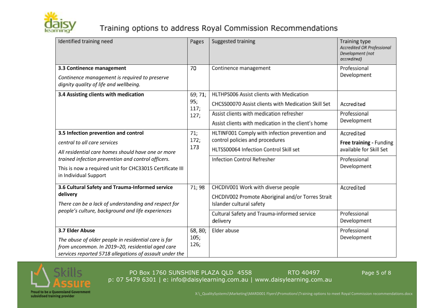

## Training options to address Royal Commission Recommendations

| Identified training need                                                                                                                        | Pages        | Suggested training                                                            | <b>Training type</b><br>Accredited OR Professional<br>Development (not<br>accredited) |  |
|-------------------------------------------------------------------------------------------------------------------------------------------------|--------------|-------------------------------------------------------------------------------|---------------------------------------------------------------------------------------|--|
| 3.3 Continence management<br>Continence management is required to preserve<br>dignity quality of life and wellbeing.                            | 70           | Continence management                                                         | Professional<br>Development                                                           |  |
| 3.4 Assisting clients with medication                                                                                                           | 69; 71;      | HLTHPS006 Assist clients with Medication                                      |                                                                                       |  |
|                                                                                                                                                 | 95;<br>117;  | CHCSS00070 Assist clients with Medication Skill Set                           | Accredited                                                                            |  |
|                                                                                                                                                 | 127;         | Assist clients with medication refresher                                      | Professional                                                                          |  |
|                                                                                                                                                 |              | Assist clients with medication in the client's home                           | Development                                                                           |  |
| 3.5 Infection prevention and control                                                                                                            | 71;<br>172;  | HLTINF001 Comply with infection prevention and                                | Accredited                                                                            |  |
| central to all care services<br>173<br>All residential care homes should have one or more<br>trained infection prevention and control officers. |              | control policies and procedures                                               | Free training - Funding                                                               |  |
|                                                                                                                                                 |              | HLTSS00064 Infection Control Skill set                                        | available for Skill Set                                                               |  |
|                                                                                                                                                 |              | <b>Infection Control Refresher</b>                                            | Professional<br>Development                                                           |  |
| This is now a required unit for CHC33015 Certificate III<br>in Individual Support                                                               |              |                                                                               |                                                                                       |  |
| 3.6 Cultural Safety and Trauma-Informed service                                                                                                 | 71; 98       | CHCDIV001 Work with diverse people                                            | Accredited                                                                            |  |
| delivery<br>There can be a lack of understanding and respect for                                                                                |              | CHCDIV002 Promote Aboriginal and/or Torres Strait<br>Islander cultural safety |                                                                                       |  |
| people's culture, background and life experiences                                                                                               |              | Cultural Safety and Trauma-informed service<br>delivery                       | Professional<br>Development                                                           |  |
| 3.7 Elder Abuse                                                                                                                                 | 68, 80;      | Elder abuse                                                                   | Professional                                                                          |  |
| The abuse of older people in residential care is far                                                                                            | 105;<br>126; |                                                                               | Development                                                                           |  |
| from uncommon. In 2019-20, residential aged care<br>services reported 5718 allegations of assault under the                                     |              |                                                                               |                                                                                       |  |
|                                                                                                                                                 |              |                                                                               |                                                                                       |  |



PO Box 1760 SUNSHINE PLAZA QLD 4558 RTO 40497 RTO 40497 p: 07 5479 6301 | e: info@daisylearning.com.au | www.daisylearning.com.au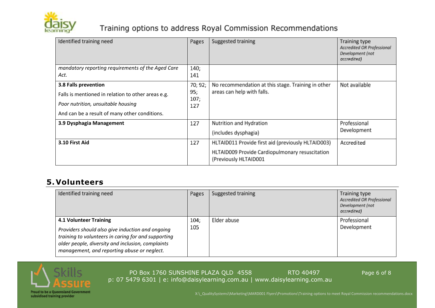

## Training options to address Royal Commission Recommendations

| Identified training need                           | Pages       | Suggested training                                                       | Training type<br>Accredited OR Professional<br>Development (not<br>accredited) |
|----------------------------------------------------|-------------|--------------------------------------------------------------------------|--------------------------------------------------------------------------------|
| mandatory reporting requirements of the Aged Care  | 140;        |                                                                          |                                                                                |
| Act.                                               | 141         |                                                                          |                                                                                |
| 3.8 Falls prevention                               | 70; 92;     | No recommendation at this stage. Training in other                       | Not available                                                                  |
| Falls is mentioned in relation to other areas e.g. | 95;<br>107; | areas can help with falls.                                               |                                                                                |
| Poor nutrition, unsuitable housing                 |             |                                                                          |                                                                                |
| And can be a result of many other conditions.      |             |                                                                          |                                                                                |
| 3.9 Dysphagia Management                           |             | Nutrition and Hydration                                                  | Professional                                                                   |
|                                                    |             | (includes dysphagia)                                                     | Development                                                                    |
| 3.10 First Aid                                     | 127         | HLTAID011 Provide first aid (previously HLTAID003)                       | Accredited                                                                     |
|                                                    |             | HLTAID009 Provide Cardiopulmonary resuscitation<br>(Previously HLTAID001 |                                                                                |

#### **5. Volunteers**

| Identified training need                                                                                                                                                                                                                     |             | Suggested training | <b>Training type</b><br>Accredited OR Professional<br>Development (not<br>accredited) |  |  |
|----------------------------------------------------------------------------------------------------------------------------------------------------------------------------------------------------------------------------------------------|-------------|--------------------|---------------------------------------------------------------------------------------|--|--|
| <b>4.1 Volunteer Training</b><br>Providers should also give induction and ongoing<br>training to volunteers in caring for and supporting<br>older people, diversity and inclusion, complaints<br>management, and reporting abuse or neglect. | 104:<br>105 | Elder abuse        | Professional<br>Development                                                           |  |  |



PO Box 1760 SUNSHINE PLAZA QLD 4558 RTO 40497 RTO 40497 p: 07 5479 6301 | e: info@daisylearning.com.au | www.daisylearning.com.au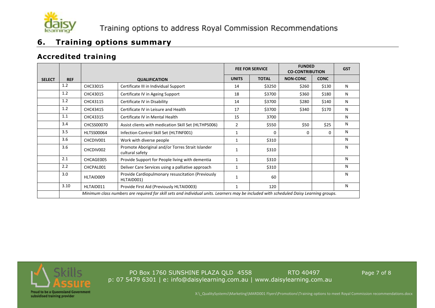

#### **6. Training options summary**

#### **Accredited training**

|               |                                                                                                                                        |                   |                                                                     | <b>FEE FOR SERVICE</b> |              | <b>FUNDED</b><br><b>CO-CONTRIBUTION</b> | <b>GST</b>  |   |
|---------------|----------------------------------------------------------------------------------------------------------------------------------------|-------------------|---------------------------------------------------------------------|------------------------|--------------|-----------------------------------------|-------------|---|
| <b>SELECT</b> | <b>REF</b>                                                                                                                             |                   | <b>QUALIFICATION</b>                                                | <b>UNITS</b>           | <b>TOTAL</b> | <b>NON-CONC</b>                         | <b>CONC</b> |   |
|               | 1.2                                                                                                                                    | CHC33015          | Certificate III in Individual Support                               | 14                     | \$3250       | \$260                                   | \$130       | N |
|               | 1.2                                                                                                                                    | CHC43015          | Certificate IV in Ageing Support                                    | 18                     | \$3700       | \$360                                   | \$180       | N |
|               | 1.2                                                                                                                                    | CHC43115          | Certificate IV in Disability                                        | 14                     | \$3700       | \$280                                   | \$140       | N |
|               | 1.2                                                                                                                                    | CHC43415          | Certificate IV in Leisure and Health                                | 17                     | \$3700       | \$340                                   | \$170       | N |
|               | 1.1                                                                                                                                    | CHC43315          | Certificate IV in Mental Health                                     | 15                     | 3700         |                                         |             | N |
|               | 3.4                                                                                                                                    | <b>CHCSS00070</b> | Assist clients with medication Skill Set (HLTHPS006)                | 2                      | \$550        | \$50                                    | \$25        | N |
|               | 3.5                                                                                                                                    | HLTSS00064        | Infection Control Skill Set (HLTINF001)                             | $\mathbf{1}$           | 0            | $\Omega$                                | 0           | N |
|               | 3.6                                                                                                                                    | CHCDIV001         | Work with diverse people                                            | 1                      | \$310        |                                         |             | N |
|               | 3.6                                                                                                                                    | CHCDIV002         | Promote Aboriginal and/or Torres Strait Islander<br>cultural safety | 1                      | \$310        |                                         |             | N |
|               | 2.1                                                                                                                                    | CHCAGE005         | Provide Support for People living with dementia                     | 1                      | \$310        |                                         |             | N |
|               | 2.2                                                                                                                                    | CHCPAL001         | Deliver Care Services using a palliative approach                   | 1                      | \$310        |                                         |             | N |
|               | 3.0                                                                                                                                    | HLTAID009         | Provide Cardiopulmonary resuscitation (Previously<br>HLTAID001)     | 1                      | 60           |                                         |             | N |
|               | 3.10                                                                                                                                   | HLTAID011         | Provide First Aid (Previously HLTAID003)                            | 1                      | 120          |                                         |             | N |
|               | Minimum class numbers are required for skill sets and individual units. Learners may be included with scheduled Daisy Learning groups. |                   |                                                                     |                        |              |                                         |             |   |



PO Box 1760 SUNSHINE PLAZA QLD 4558 RTO 40497 RTO 40497 p: 07 5479 6301 | e: info@daisylearning.com.au | www.daisylearning.com.au